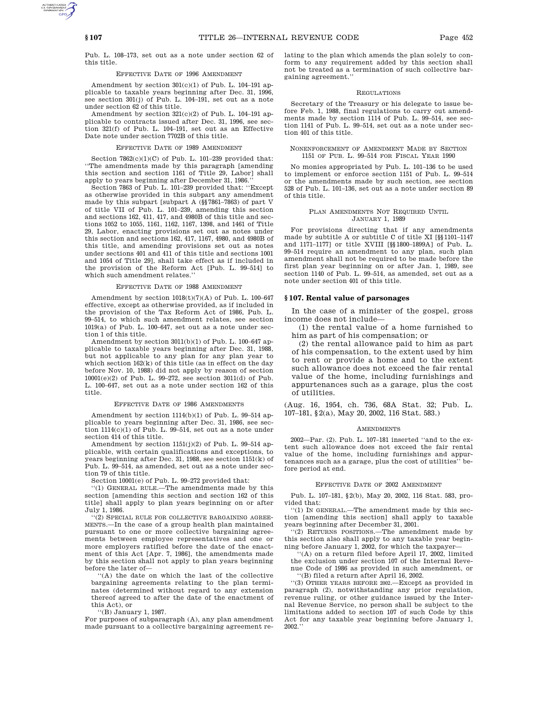Pub. L. 108–173, set out as a note under section 62 of this title.

# EFFECTIVE DATE OF 1996 AMENDMENT

Amendment by section 301(c)(1) of Pub. L. 104–191 applicable to taxable years beginning after Dec. 31, 1996, see section 301(j) of Pub. L. 104–191, set out as a note under section 62 of this title.

Amendment by section  $321(c)(2)$  of Pub. L. 104–191 applicable to contracts issued after Dec. 31, 1996, see section 321(f) of Pub. L. 104–191, set out as an Effective Date note under section 7702B of this title.

#### EFFECTIVE DATE OF 1989 AMENDMENT

Section  $7862(c)(1)(C)$  of Pub. L. 101-239 provided that: ''The amendments made by this paragraph [amending this section and section 1161 of Title 29, Labor] shall apply to years beginning after December 31, 1986.

Section 7863 of Pub. L. 101–239 provided that: ''Except as otherwise provided in this subpart any amendment made by this subpart [subpart A (§§7861–7863) of part V of title VII of Pub. L. 101–239, amending this section and sections 162, 411, 417, and 4980B of this title and sections 1052 to 1055, 1161, 1162, 1167, 1398, and 1461 of Title 29, Labor, enacting provisions set out as notes under this section and sections 162, 417, 1167, 4980, and 4980B of this title, and amending provisions set out as notes under sections 401 and 411 of this title and sections 1001 and 1054 of Title 29], shall take effect as if included in the provision of the Reform Act [Pub. L. 99–514] to which such amendment relates.''

### EFFECTIVE DATE OF 1988 AMENDMENT

Amendment by section  $1018(t)(7)(A)$  of Pub. L. 100-647 effective, except as otherwise provided, as if included in the provision of the Tax Reform Act of 1986, Pub. L. 99–514, to which such amendment relates, see section 1019(a) of Pub. L. 100–647, set out as a note under section 1 of this title.

Amendment by section 3011(b)(1) of Pub. L. 100–647 applicable to taxable years beginning after Dec. 31, 1988, but not applicable to any plan for any plan year to which section 162(k) of this title (as in effect on the day before Nov. 10, 1988) did not apply by reason of section 10001(e)(2) of Pub. L. 99–272, see section 3011(d) of Pub. L. 100–647, set out as a note under section 162 of this title.

### EFFECTIVE DATE OF 1986 AMENDMENTS

Amendment by section 1114(b)(1) of Pub. L. 99–514 applicable to years beginning after Dec. 31, 1986, see section 1114(c)(1) of Pub. L. 99–514, set out as a note under section 414 of this title.

Amendment by section 1151(j)(2) of Pub. L. 99–514 applicable, with certain qualifications and exceptions, to years beginning after Dec. 31, 1988, see section 1151(k) of Pub. L. 99–514, as amended, set out as a note under section 79 of this title.

Section 10001(e) of Pub. L. 99–272 provided that:

''(1) GENERAL RULE.—The amendments made by this section [amending this section and section 162 of this title] shall apply to plan years beginning on or after July 1, 1986.

''(2) SPECIAL RULE FOR COLLECTIVE BARGAINING AGREE-MENTS.—In the case of a group health plan maintained pursuant to one or more collective bargaining agreements between employee representatives and one or more employers ratified before the date of the enactment of this Act [Apr. 7, 1986], the amendments made by this section shall not apply to plan years beginning before the later of—

''(A) the date on which the last of the collective bargaining agreements relating to the plan terminates (determined without regard to any extension thereof agreed to after the date of the enactment of this Act), or

''(B) January 1, 1987.

For purposes of subparagraph (A), any plan amendment made pursuant to a collective bargaining agreement relating to the plan which amends the plan solely to conform to any requirement added by this section shall not be treated as a termination of such collective bargaining agreement.''

#### REGULATIONS

Secretary of the Treasury or his delegate to issue before Feb. 1, 1988, final regulations to carry out amendments made by section 1114 of Pub. L. 99–514, see section 1141 of Pub. L. 99–514, set out as a note under section 401 of this title.

### NONENFORCEMENT OF AMENDMENT MADE BY SECTION 1151 OF PUB. L. 99–514 FOR FISCAL YEAR 1990

No monies appropriated by Pub. L. 101–136 to be used to implement or enforce section 1151 of Pub. L. 99–514 or the amendments made by such section, see section 528 of Pub. L. 101–136, set out as a note under section 89 of this title.

#### PLAN AMENDMENTS NOT REQUIRED UNTIL JANUARY 1, 1989

For provisions directing that if any amendments made by subtitle A or subtitle C of title XI [§§1101–1147 and 1171–1177] or title XVIII [§§1800–1899A] of Pub. L. 99–514 require an amendment to any plan, such plan amendment shall not be required to be made before the first plan year beginning on or after Jan. 1, 1989, see section 1140 of Pub. L. 99–514, as amended, set out as a note under section 401 of this title.

#### **§ 107. Rental value of parsonages**

In the case of a minister of the gospel, gross income does not include—

(1) the rental value of a home furnished to him as part of his compensation; or

(2) the rental allowance paid to him as part of his compensation, to the extent used by him to rent or provide a home and to the extent such allowance does not exceed the fair rental value of the home, including furnishings and appurtenances such as a garage, plus the cost of utilities.

(Aug. 16, 1954, ch. 736, 68A Stat. 32; Pub. L. 107–181, §2(a), May 20, 2002, 116 Stat. 583.)

#### **AMENDMENTS**

2002—Par. (2). Pub. L. 107–181 inserted ''and to the extent such allowance does not exceed the fair rental value of the home, including furnishings and appurtenances such as a garage, plus the cost of utilities' fore period at end.

#### EFFECTIVE DATE OF 2002 AMENDMENT

Pub. L. 107–181, §2(b), May 20, 2002, 116 Stat. 583, provided that:

''(1) IN GENERAL.—The amendment made by this section [amending this section] shall apply to taxable years beginning after December 31, 2001.

''(2) RETURNS POSITIONS.—The amendment made by this section also shall apply to any taxable year beginning before January 1, 2002, for which the taxpayer—

 $(A)$  on a return filed before April 17, 2002, limited the exclusion under section 107 of the Internal Revenue Code of 1986 as provided in such amendment, or ''(B) filed a return after April 16, 2002.

''(3) OTHER YEARS BEFORE 2002.—Except as provided in paragraph (2), notwithstanding any prior regulation,

revenue ruling, or other guidance issued by the Internal Revenue Service, no person shall be subject to the limitations added to section 107 of such Code by this Act for any taxable year beginning before January 1, 2002.''